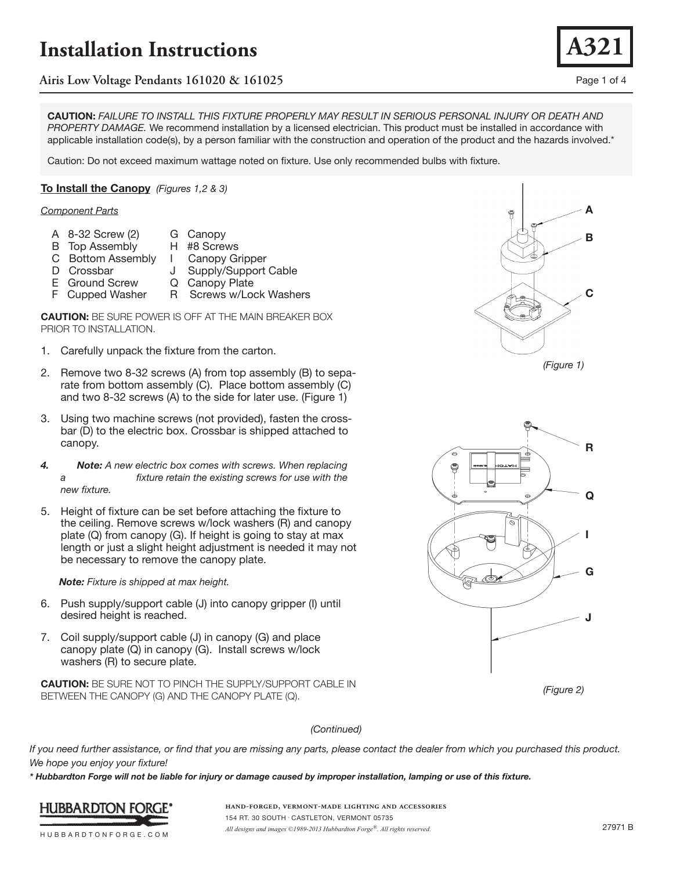**Airis Low Voltage Pendants 161020 & 161025** Page 1 of 4

**CAUTION:** *FAILURE TO INSTALL THIS FIXTURE PROPERLY MAY RESULT IN SERIOUS PERSONAL INJURY OR DEATH AND PROPERTY DAMAGE.* We recommend installation by a licensed electrician. This product must be installed in accordance with applicable installation code(s), by a person familiar with the construction and operation of the product and the hazards involved.\*

Caution: Do not exceed maximum wattage noted on fixture. Use only recommended bulbs with fixture.

## **To Install the Canopy** *(Figures 1,2 & 3)*

#### *Component Parts*

- A 8-32 Screw (2) B Top Assembly
- G Canopy H #8 Screws
- C Bottom Assembly
- I Canopy Gripper
- D Crossbar
- J Supply/Support Cable Q Canopy Plate
- E Ground Screw F Cupped Washer
	- R Screws w/Lock Washers

## **CAUTION:** BE SURE POWER IS OFF AT THE MAIN BREAKER BOX PRIOR TO INSTALLATION.

- 1. Carefully unpack the fixture from the carton.
- 2. Remove two 8-32 screws (A) from top assembly (B) to separate from bottom assembly (C). Place bottom assembly (C) and two 8-32 screws (A) to the side for later use. (Figure 1)
- 3. Using two machine screws (not provided), fasten the crossbar (D) to the electric box. Crossbar is shipped attached to canopy.
- *4. Note: A new electric box comes with screws. When replacing a fixture retain the existing screws for use with the new fixture.*
- 5. Height of fixture can be set before attaching the fixture to the ceiling. Remove screws w/lock washers (R) and canopy plate (Q) from canopy (G). If height is going to stay at max length or just a slight height adjustment is needed it may not be necessary to remove the canopy plate.

## *Note: Fixture is shipped at max height.*

- 6. Push supply/support cable (J) into canopy gripper (I) until desired height is reached.
- 7. Coil supply/support cable (J) in canopy (G) and place canopy plate (Q) in canopy (G). Install screws w/lock washers (R) to secure plate.

**CAUTION:** BE SURE NOT TO PINCH THE SUPPLY/SUPPORT CABLE IN BETWEEN THE CANOPY (G) AND THE CANOPY PLATE (Q).

**C B A**





*(Figure 2)*

### *(Continued)*

*If you need further assistance, or find that you are missing any parts, please contact the dealer from which you purchased this product. We hope you enjoy your fixture!* 

*\* Hubbardton Forge will not be liable for injury or damage caused by improper installation, lamping or use of this fixture.*



HUBBARDTONFORGE.COM

**A321**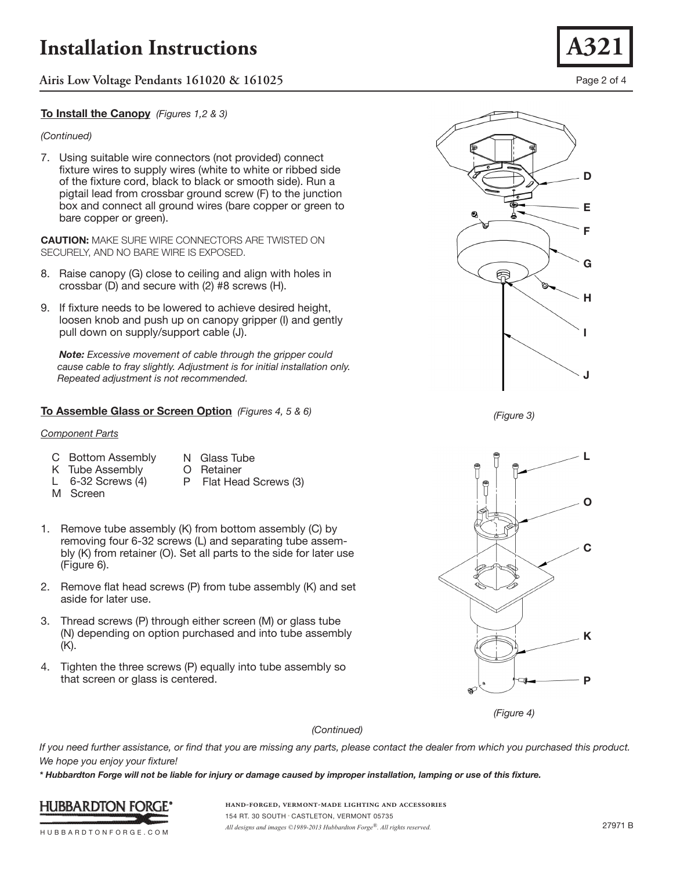**Airis Low Voltage Pendants 161020 & 161025** Page 2 of 4

## **To Install the Canopy** *(Figures 1,2 & 3)*

#### *(Continued)*

7. Using suitable wire connectors (not provided) connect fixture wires to supply wires (white to white or ribbed side of the fixture cord, black to black or smooth side). Run a pigtail lead from crossbar ground screw (F) to the junction box and connect all ground wires (bare copper or green to bare copper or green).

**CAUTION:** MAKE SURE WIRE CONNECTORS ARE TWISTED ON SECURELY, AND NO BARE WIRE IS EXPOSED.

- 8. Raise canopy (G) close to ceiling and align with holes in crossbar (D) and secure with (2) #8 screws (H).
- 9. If fixture needs to be lowered to achieve desired height, loosen knob and push up on canopy gripper (I) and gently pull down on supply/support cable (J).

 *Note: Excessive movement of cable through the gripper could cause cable to fray slightly. Adjustment is for initial installation only. Repeated adjustment is not recommended.*

## **To Assemble Glass or Screen Option** *(Figures 4, 5 & 6)*

#### *Component Parts*

- C Bottom Assembly
- N Glass Tube
- K Tube Assembly
- O Retainer
- L 6-32 Screws (4)
- P Flat Head Screws (3)
- M Screen
- 
- 1. Remove tube assembly (K) from bottom assembly (C) by removing four 6-32 screws (L) and separating tube assembly (K) from retainer (O). Set all parts to the side for later use (Figure 6).
- 2. Remove flat head screws (P) from tube assembly (K) and set aside for later use.
- 3. Thread screws (P) through either screen (M) or glass tube (N) depending on option purchased and into tube assembly (K).
- 4. Tighten the three screws (P) equally into tube assembly so that screen or glass is centered.







## *(Continued)*

*If you need further assistance, or find that you are missing any parts, please contact the dealer from which you purchased this product. We hope you enjoy your fixture!* 

*\* Hubbardton Forge will not be liable for injury or damage caused by improper installation, lamping or use of this fixture.*



**A321**

**G**

**H**

**K**

**P**

**E**

**D**

**F**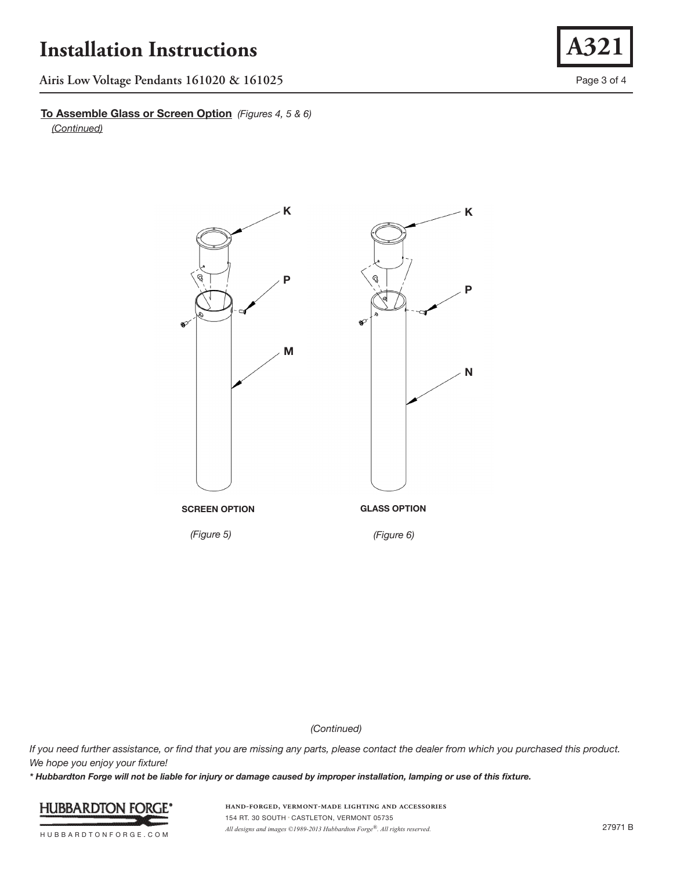**A321**

**Airis Low Voltage Pendants 161020 & 161025** Page 3 of 4

## **To Assemble Glass or Screen Option** *(Figures 4, 5 & 6)*

*(Continued)*



*(Continued)*

*If you need further assistance, or find that you are missing any parts, please contact the dealer from which you purchased this product. We hope you enjoy your fixture!* 

*\* Hubbardton Forge will not be liable for injury or damage caused by improper installation, lamping or use of this fixture.*



HUBBARDTONFORGE.COM

**hand-forged, vermont-made lighting and accessories** 154 RT. 30 SOUTH • CASTLETON, VERMONT 05735 *All designs and images ©1989-2013 Hubbardton Forge®. All rights reserved.* 27971 B